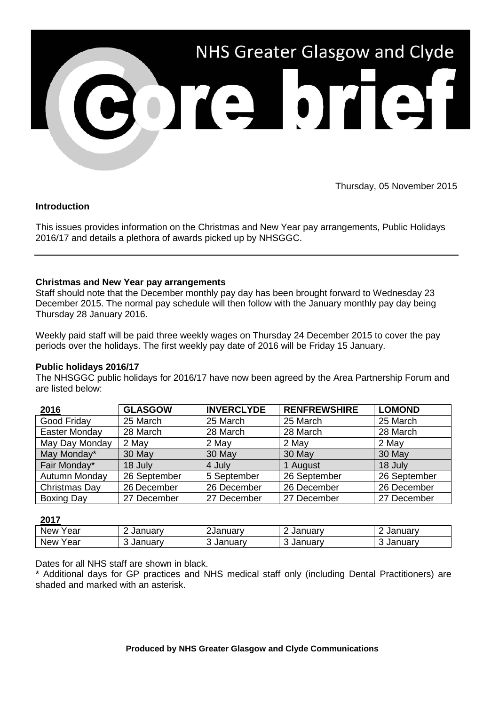

Thursday, 05 November 2015

# **Introduction**

This issues provides information on the Christmas and New Year pay arrangements, Public Holidays 2016/17 and details a plethora of awards picked up by NHSGGC.

# **Christmas and New Year pay arrangements**

Staff should note that the December monthly pay day has been brought forward to Wednesday 23 December 2015. The normal pay schedule will then follow with the January monthly pay day being Thursday 28 January 2016.

Weekly paid staff will be paid three weekly wages on Thursday 24 December 2015 to cover the pay periods over the holidays. The first weekly pay date of 2016 will be Friday 15 January.

### **Public holidays 2016/17**

The NHSGGC public holidays for 2016/17 have now been agreed by the Area Partnership Forum and are listed below:

| 2016           | <b>GLASGOW</b> | <b>INVERCLYDE</b> | <b>RENFREWSHIRE</b> | <b>LOMOND</b> |
|----------------|----------------|-------------------|---------------------|---------------|
| Good Friday    | 25 March       | 25 March          | 25 March            | 25 March      |
| Easter Monday  | 28 March       | 28 March          | 28 March            | 28 March      |
| May Day Monday | 2 May          | 2 May             | 2 May               | 2 May         |
| May Monday*    | 30 May         | 30 May            | 30 May              | 30 May        |
| Fair Monday*   | 18 July        | 4 July            | 1 August            | 18 July       |
| Autumn Monday  | 26 September   | 5 September       | 26 September        | 26 September  |
| Christmas Day  | 26 December    | 26 December       | 26 December         | 26 December   |
| Boxing Day     | 27 December    | 27 December       | 27 December         | 27 December   |

# **2017**

| ----        |                |                     |                   |         |  |  |
|-------------|----------------|---------------------|-------------------|---------|--|--|
| New<br>ear  | -<br>. Januarv | ∠Januar∨            | . Januarv         | January |  |  |
| New<br>′ear | ◠<br>∟ Januarv | $\sim$<br>. Januarv | $\sim$<br>Januarv | Januarv |  |  |

Dates for all NHS staff are shown in black.

\* Additional days for GP practices and NHS medical staff only (including Dental Practitioners) are shaded and marked with an asterisk.